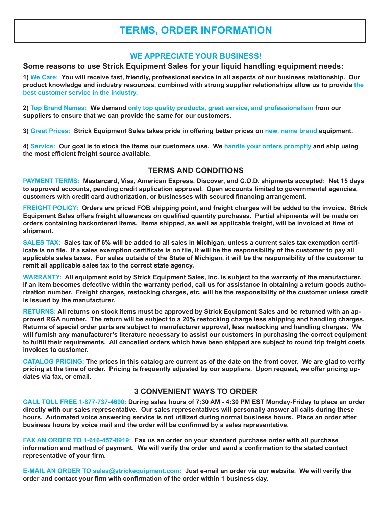# **TERMS, ORDER INFORMATION**

#### **WE APPRECIATE YOUR BUSINESS!**

#### **Some reasons to use Strick Equipment Sales for your liquid handling equipment needs:**

**1) We Care: You will receive fast, friendly, professional service in all aspects of our business relationship. Our product knowledge and industry resources, combined with strong supplier relationships allow us to provide the best customer service in the industry.**

**2) Top Brand Names: We demand only top quality products, great service, and professionalism from our suppliers to ensure that we can provide the same for our customers.**

**3) Great Prices: Strick Equipment Sales takes pride in offering better prices on new, name brand equipment.**

**4) Service: Our goal is to stock the items our customers use. We handle your orders promptly and ship using the most efficient freight source available.**

#### **TERMS AND CONDITIONS**

**PAYMENT TERMS: Mastercard, Visa, American Express, Discover, and C.O.D. shipments accepted: Net 15 days to approved accounts, pending credit application approval. Open accounts limited to governmental agencies, customers with credit card authorization, or businesses with secured financing arrangement.**

**FREIGHT POLICY: Orders are priced FOB shipping point, and freight charges will be added to the invoice. Strick Equipment Sales offers freight allowances on qualified quantity purchases. Partial shipments will be made on orders containing backordered items. Items shipped, as well as applicable freight, will be invoiced at time of shipment.**

**SALES TAX: Sales tax of 6% will be added to all sales in Michigan, unless a current sales tax exemption certificate is on file. If a sales exemption certificate is on file, it will be the responsibility of the customer to pay all applicable sales taxes. For sales outside of the State of Michigan, it will be the responsibility of the customer to remit all applicable sales tax to the correct state agency.**

**WARRANTY: All equipment sold by Strick Equipment Sales, Inc. is subject to the warranty of the manufacturer. If an item becomes defective within the warranty period, call us for assistance in obtaining a return goods authorization number. Freight charges, restocking charges, etc. will be the responsibility of the customer unless credit is issued by the manufacturer.**

**RETURNS: All returns on stock items must be approved by Strick Equipment Sales and be returned with an approved RGA number. The return will be subject to a 20% restocking charge less shipping and handling charges. Returns of special order parts are subject to manufacturer approval, less restocking and handling charges. We will furnish any manufacturer's literature necessary to assist our customers in purchasing the correct equipment to fulfill their requirements. All cancelled orders which have been shipped are subject to round trip freight costs invoices to customer.**

**CATALOG PRICING: The prices in this catalog are current as of the date on the front cover. We are glad to verify pricing at the time of order. Pricing is frequently adjusted by our suppliers. Upon request, we offer pricing updates via fax, or email.**

### **3 CONVENIENT WAYS TO ORDER**

**CALL TOLL FREE 1-877-737-4690: During sales hours of 7:30 AM - 4:30 PM EST Monday-Friday to place an order directly with our sales representative. Our sales representatives will personally answer all calls during these hours. Automated voice answering service is not utilized during normal business hours. Place an order after business hours by voice mail and the order will be confirmed by a sales representative.**

**FAX AN ORDER TO 1-616-457-8919: Fax us an order on your standard purchase order with all purchase information and method of payment. We will verify the order and send a confirmation to the stated contact representative of your firm.**

**E-MAIL AN ORDER TO sales@strickequipment.com: Just e-mail an order via our website. We will verify the order and contact your firm with confirmation of the order within 1 business day.**